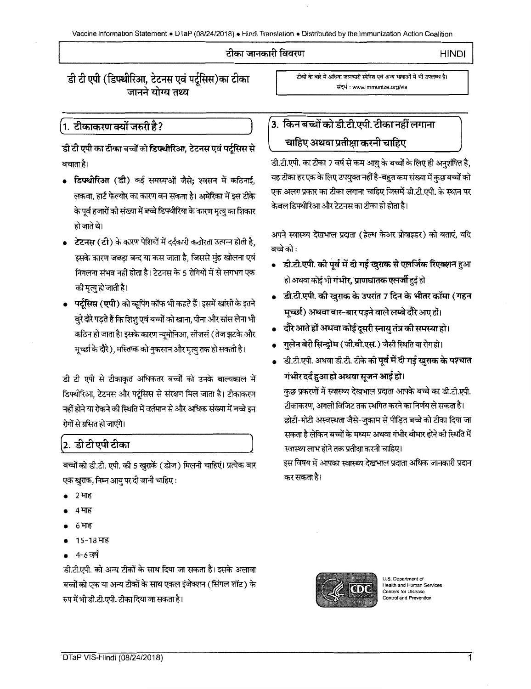#### टीका जानकारी विवरण

)

HINDI

 $\overline{\phantom{a}}$ 

 $\frac{1}{\sqrt{2}}$ 

डी टी एपी (डिपथीरिआ, टेटनस एवं पर्ट्सिस)का टीका जानने योग्य तथ्य

### .1. टीकाकरण क्यों जरुरी है ?

डी टी एपी का टीका बच्चों को डिफ्थोरिआ, टेटनस एवं पर्टूसिस से बचाता है।

- डिफ्थोरिआ (डी) कई समस्याओं जैसे; श्वसन में कठिनाई, लकवा, हार्ट फेल्योर का कारण बन सकता है। अमेरिका में इस टीके के पूर्व हजारों की संख्या में बच्चे डिफ्थीरिया के कारण मृत्यु का शिकार हो जाते थे।
- टेटनस (टी) के कारण पेशियों में दर्दकारी कठोरता उत्पन्न होती है, इसके कारण जबड़ा बन्द या कस जाता है, जिससे मुंह खोलना एवं निगलना संभव नहीं होता है। टेटनस के 5 रोगियों में से लगभग एक की मृत्यु हो जाती है।
- पर्टूसिस (एपी) को व्हूपिंग कॉफ भी कहते हैं। इसमें खांसी के इतने .<br>वूरे दौरे पड़ते हैं कि शिशु एवं बच्चों को खाना, पीना और सांस लेना भी कठिन हो जाता है। इसके कारण न्यूमोनिआ, सीजर्स ( तेज झटके और मूच्छा के दौरे), मस्तिष्क को नुकसान और मृत्यु तक हो सकती है।

डी टी एपी से टीकाकृत अधिकतर बच्चों को उनके बाल्यकाल में डिफ्थीरिआ, टेटनस और पर्टूसिस से संरक्षण मिल जाता है। टीकाकरण नहीं होने या रोकने की स्थिति में वर्तमान से और अधिक संख्या में बच्चे इन रोगों से ग्रसित हो जाएंगे।

## <u>|2. डी टी एपी टीका</u>

बच्चों को डी.टी. एपी. की 5 खुराकें (डोज) मिलनी चाहिएं। प्रत्येक बार एक खुराक, निम्न आयु पर दी जानी चाहिए :

- 2 माह
- 4 माह
- 6 माह
- 15-18 माह
- 4-6 वर्ष

डी.टी.एपी. को अन्य टीकों के साथ दिया जा सकता है। इसके अलावा बच्चों को एक या अन्य टीकों के साथ एकल इंजेक्शन (सिंगल शॉट) के रुप में भी डी.टी.एपी. टीका दिया जा सकता है।

टीकों के बारे में अधिक जानकारी स्पेनिश एवं अन्य भाषाओं में भी उपलब्ध है। ~ : www.immunize.org/vis

# $\left($ 3. किन बच्चों को डी.टी.एपी. टीका नहीं लगाना चाहिए अथवा प्रतीक्षा करनी चाहिए

ंडी.टी.एपी. का टीका 7 वर्ष से कम आयु के बच्चों के लिए ही अनुशंषित है, यह टीका हर एक के लिए उपयुक्त नहीं है-बहुत कम संख्या में कुछ बच्चों को एक अलग प्रकार का टीका लगाना चाहिए जिसमें डी.टी.एपी. के स्थान पर केवल डिफ्थीरिआ और टेटनस का टीका ही होता है।

अपने स्वास्थ्य देखभाल प्रदाता (हेल्थ केअर प्रोवाइडर) को बताएं, यदि बच्चे को :

- डी.टी.एपी. की पूर्व में दी गई खुराक से एलर्जिक रिएक्शन हुआ हो अथवा कोई भी **गंभीर, प्राणघातक एलर्जी** हुई हो।
- $\,$  डी.टी.एपी. की खुराक के उपरांत 7 दिन के भीतर कॉमा (गहन **मुच्छा) अथवा बार-बार पड़ने वाले लम्बे दौरे** आए हों।
- <u>,</u> दौरे आते हों अथवा कोई दूसरी स्नायु तंत्र की समस्या हो।
- गुलेन बेरी सिन्डोम ( जी.बी.एस. ) जैसी स्थिति या रोग हो।
- ड़ी.टी.एपी. अथवा डी.टी. टीके की **पूर्व में दी गई खुराक के पश्चात** <u>गंभीर दर्द हु</u>आ हो अथवा सूजन आई हो।

कुछ प्रकरणों में स्वास्थ्य देखभाल प्रदाता आपके बच्चे का डी.टी.एपी. टीकाकरण, अगली विजिट तक स्थगित करने का निर्णय ले सकता है। छोटी-मोटी अस्वस्थता जैसे-जुकाम से पीड़ित बच्चे को टीका दिया जा सकता है लेकिन बच्चों के मध्यम अथवा गंभीर बीमार होने की स्थिति में स्वास्थ्य लाभ होने तक प्रतीक्षा करनी चाहिए।

इस विषय में आपका स्वास्थ्य देखभाल प्रदाता अधिक जानकारी प्रदान कर सकता है।



U.S. Department of Health and Human Se Centers for Disease Control and Prevention